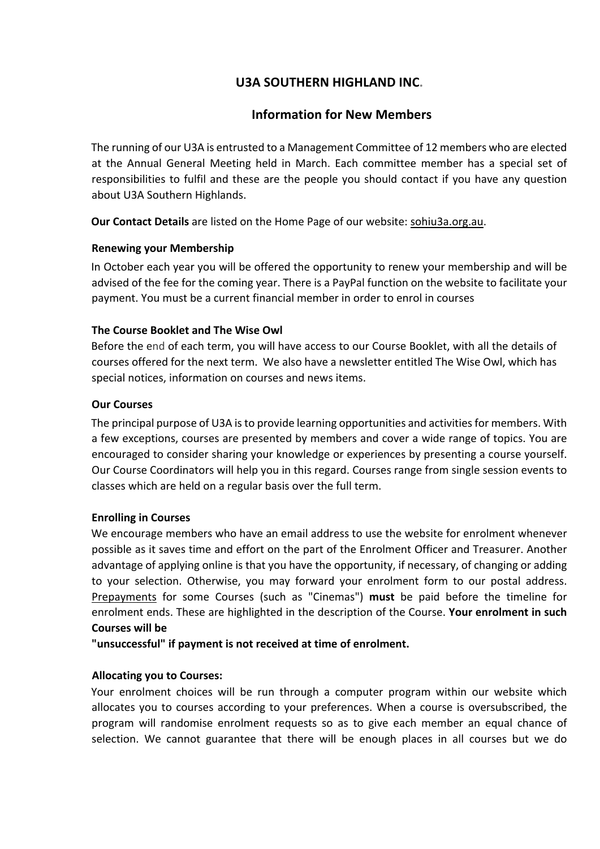# **U3A SOUTHERN HIGHLAND INC.**

# **Information for New Members**

The running of our U3A is entrusted to a Management Committee of 12 members who are elected at the Annual General Meeting held in March. Each committee member has a special set of responsibilities to fulfil and these are the people you should contact if you have any question about U3A Southern Highlands.

**Our Contact Details** are listed on the Home Page of our website: sohiu3a.org.au.

## **Renewing your Membership**

In October each year you will be offered the opportunity to renew your membership and will be advised of the fee for the coming year. There is a PayPal function on the website to facilitate your payment. You must be a current financial member in order to enrol in courses

# **The Course Booklet and The Wise Owl**

Before the end of each term, you will have access to our Course Booklet, with all the details of courses offered for the next term. We also have a newsletter entitled The Wise Owl, which has special notices, information on courses and news items.

# **Our Courses**

The principal purpose of U3A is to provide learning opportunities and activities for members. With a few exceptions, courses are presented by members and cover a wide range of topics. You are encouraged to consider sharing your knowledge or experiences by presenting a course yourself. Our Course Coordinators will help you in this regard. Courses range from single session events to classes which are held on a regular basis over the full term.

#### **Enrolling in Courses**

We encourage members who have an email address to use the website for enrolment whenever possible as it saves time and effort on the part of the Enrolment Officer and Treasurer. Another advantage of applying online is that you have the opportunity, if necessary, of changing or adding to your selection. Otherwise, you may forward your enrolment form to our postal address. Prepayments for some Courses (such as "Cinemas") **must** be paid before the timeline for enrolment ends. These are highlighted in the description of the Course. **Your enrolment in such Courses will be** 

**"unsuccessful" if payment is not received at time of enrolment.** 

# **Allocating you to Courses:**

Your enrolment choices will be run through a computer program within our website which allocates you to courses according to your preferences. When a course is oversubscribed, the program will randomise enrolment requests so as to give each member an equal chance of selection. We cannot guarantee that there will be enough places in all courses but we do